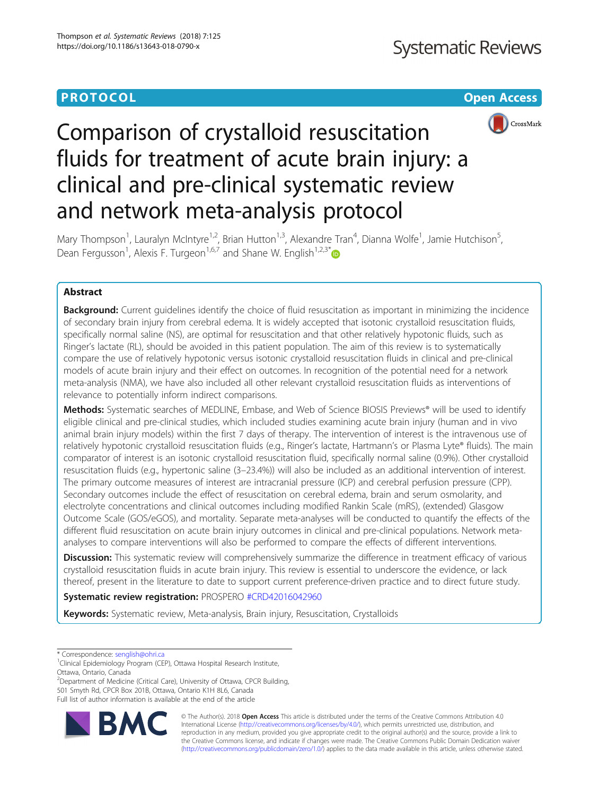# **PROTOCOL CONSUMING THE OPEN ACCESS**



# Comparison of crystalloid resuscitation fluids for treatment of acute brain injury: a clinical and pre-clinical systematic review and network meta-analysis protocol

Mary Thompson<sup>1</sup>, Lauralyn McIntyre<sup>1,2</sup>, Brian Hutton<sup>1,3</sup>, Alexandre Tran<sup>4</sup>, Dianna Wolfe<sup>1</sup>, Jamie Hutchison<sup>5</sup> , Dean Fergusson<sup>1</sup>, Alexis F. Turgeon<sup>1,6,7</sup> and Shane W. English<sup>1,2,3[\\*](http://orcid.org/0000-0002-9477-6146)</sup>

# Abstract

**Background:** Current guidelines identify the choice of fluid resuscitation as important in minimizing the incidence of secondary brain injury from cerebral edema. It is widely accepted that isotonic crystalloid resuscitation fluids, specifically normal saline (NS), are optimal for resuscitation and that other relatively hypotonic fluids, such as Ringer's lactate (RL), should be avoided in this patient population. The aim of this review is to systematically compare the use of relatively hypotonic versus isotonic crystalloid resuscitation fluids in clinical and pre-clinical models of acute brain injury and their effect on outcomes. In recognition of the potential need for a network meta-analysis (NMA), we have also included all other relevant crystalloid resuscitation fluids as interventions of relevance to potentially inform indirect comparisons.

Methods: Systematic searches of MEDLINE, Embase, and Web of Science BIOSIS Previews® will be used to identify eligible clinical and pre-clinical studies, which included studies examining acute brain injury (human and in vivo animal brain injury models) within the first 7 days of therapy. The intervention of interest is the intravenous use of relatively hypotonic crystalloid resuscitation fluids (e.g., Ringer's lactate, Hartmann's or Plasma Lyte® fluids). The main comparator of interest is an isotonic crystalloid resuscitation fluid, specifically normal saline (0.9%). Other crystalloid resuscitation fluids (e.g., hypertonic saline (3–23.4%)) will also be included as an additional intervention of interest. The primary outcome measures of interest are intracranial pressure (ICP) and cerebral perfusion pressure (CPP). Secondary outcomes include the effect of resuscitation on cerebral edema, brain and serum osmolarity, and electrolyte concentrations and clinical outcomes including modified Rankin Scale (mRS), (extended) Glasgow Outcome Scale (GOS/eGOS), and mortality. Separate meta-analyses will be conducted to quantify the effects of the different fluid resuscitation on acute brain injury outcomes in clinical and pre-clinical populations. Network metaanalyses to compare interventions will also be performed to compare the effects of different interventions.

Discussion: This systematic review will comprehensively summarize the difference in treatment efficacy of various crystalloid resuscitation fluids in acute brain injury. This review is essential to underscore the evidence, or lack thereof, present in the literature to date to support current preference-driven practice and to direct future study.

Systematic review registration: PROSPERO [#CRD42016042960](https://www.crd.york.ac.uk/prospero/display_record.php?RecordID=42960)

Keywords: Systematic review, Meta-analysis, Brain injury, Resuscitation, Crystalloids

\* Correspondence: [senglish@ohri.ca](mailto:senglish@ohri.ca) <sup>1</sup>

<sup>2</sup>Department of Medicine (Critical Care), University of Ottawa, CPCR Building, 501 Smyth Rd, CPCR Box 201B, Ottawa, Ontario K1H 8L6, Canada Full list of author information is available at the end of the article



© The Author(s). 2018 Open Access This article is distributed under the terms of the Creative Commons Attribution 4.0 International License [\(http://creativecommons.org/licenses/by/4.0/](http://creativecommons.org/licenses/by/4.0/)), which permits unrestricted use, distribution, and reproduction in any medium, provided you give appropriate credit to the original author(s) and the source, provide a link to the Creative Commons license, and indicate if changes were made. The Creative Commons Public Domain Dedication waiver [\(http://creativecommons.org/publicdomain/zero/1.0/](http://creativecommons.org/publicdomain/zero/1.0/)) applies to the data made available in this article, unless otherwise stated.

<sup>&</sup>lt;sup>1</sup>Clinical Epidemiology Program (CEP), Ottawa Hospital Research Institute, Ottawa, Ontario, Canada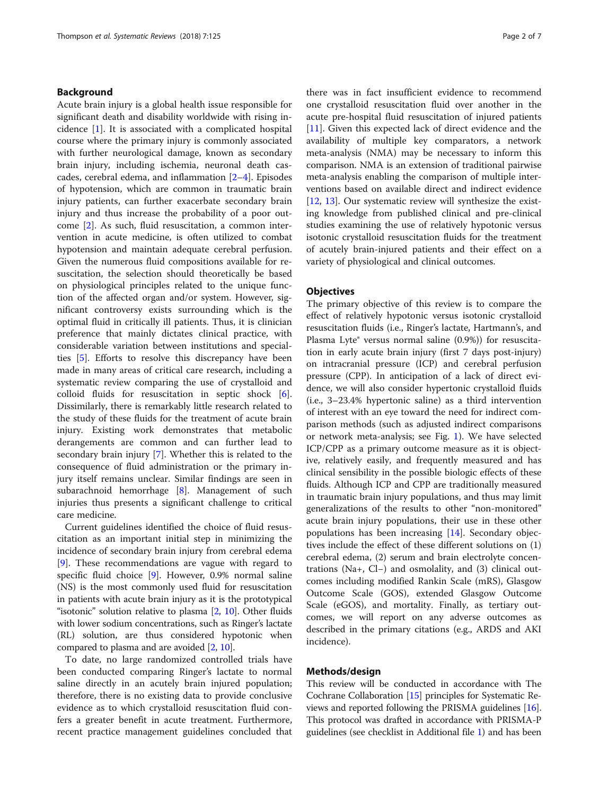# Background

Acute brain injury is a global health issue responsible for significant death and disability worldwide with rising incidence [[1](#page-6-0)]. It is associated with a complicated hospital course where the primary injury is commonly associated with further neurological damage, known as secondary brain injury, including ischemia, neuronal death cascades, cerebral edema, and inflammation [[2](#page-6-0)–[4\]](#page-6-0). Episodes of hypotension, which are common in traumatic brain injury patients, can further exacerbate secondary brain injury and thus increase the probability of a poor outcome [[2\]](#page-6-0). As such, fluid resuscitation, a common intervention in acute medicine, is often utilized to combat hypotension and maintain adequate cerebral perfusion. Given the numerous fluid compositions available for resuscitation, the selection should theoretically be based on physiological principles related to the unique function of the affected organ and/or system. However, significant controversy exists surrounding which is the optimal fluid in critically ill patients. Thus, it is clinician preference that mainly dictates clinical practice, with considerable variation between institutions and specialties [[5\]](#page-6-0). Efforts to resolve this discrepancy have been made in many areas of critical care research, including a systematic review comparing the use of crystalloid and colloid fluids for resuscitation in septic shock [\[6](#page-6-0)]. Dissimilarly, there is remarkably little research related to the study of these fluids for the treatment of acute brain injury. Existing work demonstrates that metabolic derangements are common and can further lead to secondary brain injury [\[7](#page-6-0)]. Whether this is related to the consequence of fluid administration or the primary injury itself remains unclear. Similar findings are seen in subarachnoid hemorrhage [\[8](#page-6-0)]. Management of such injuries thus presents a significant challenge to critical care medicine.

Current guidelines identified the choice of fluid resuscitation as an important initial step in minimizing the incidence of secondary brain injury from cerebral edema [[9\]](#page-6-0). These recommendations are vague with regard to specific fluid choice [\[9](#page-6-0)]. However, 0.9% normal saline (NS) is the most commonly used fluid for resuscitation in patients with acute brain injury as it is the prototypical "isotonic" solution relative to plasma [[2,](#page-6-0) [10\]](#page-6-0). Other fluids with lower sodium concentrations, such as Ringer's lactate (RL) solution, are thus considered hypotonic when compared to plasma and are avoided [\[2](#page-6-0), [10\]](#page-6-0).

To date, no large randomized controlled trials have been conducted comparing Ringer's lactate to normal saline directly in an acutely brain injured population; therefore, there is no existing data to provide conclusive evidence as to which crystalloid resuscitation fluid confers a greater benefit in acute treatment. Furthermore, recent practice management guidelines concluded that

there was in fact insufficient evidence to recommend one crystalloid resuscitation fluid over another in the acute pre-hospital fluid resuscitation of injured patients [[11\]](#page-6-0). Given this expected lack of direct evidence and the availability of multiple key comparators, a network meta-analysis (NMA) may be necessary to inform this comparison. NMA is an extension of traditional pairwise meta-analysis enabling the comparison of multiple interventions based on available direct and indirect evidence [[12,](#page-6-0) [13](#page-6-0)]. Our systematic review will synthesize the existing knowledge from published clinical and pre-clinical studies examining the use of relatively hypotonic versus isotonic crystalloid resuscitation fluids for the treatment of acutely brain-injured patients and their effect on a variety of physiological and clinical outcomes.

# **Objectives**

The primary objective of this review is to compare the effect of relatively hypotonic versus isotonic crystalloid resuscitation fluids (i.e., Ringer's lactate, Hartmann's, and Plasma Lyte® versus normal saline (0.9%)) for resuscitation in early acute brain injury (first 7 days post-injury) on intracranial pressure (ICP) and cerebral perfusion pressure (CPP). In anticipation of a lack of direct evidence, we will also consider hypertonic crystalloid fluids (i.e., 3–23.4% hypertonic saline) as a third intervention of interest with an eye toward the need for indirect comparison methods (such as adjusted indirect comparisons or network meta-analysis; see Fig. [1](#page-2-0)). We have selected ICP/CPP as a primary outcome measure as it is objective, relatively easily, and frequently measured and has clinical sensibility in the possible biologic effects of these fluids. Although ICP and CPP are traditionally measured in traumatic brain injury populations, and thus may limit generalizations of the results to other "non-monitored" acute brain injury populations, their use in these other populations has been increasing [[14](#page-6-0)]. Secondary objectives include the effect of these different solutions on (1) cerebral edema, (2) serum and brain electrolyte concentrations (Na+, Cl−) and osmolality, and (3) clinical outcomes including modified Rankin Scale (mRS), Glasgow Outcome Scale (GOS), extended Glasgow Outcome Scale (eGOS), and mortality. Finally, as tertiary outcomes, we will report on any adverse outcomes as described in the primary citations (e.g., ARDS and AKI incidence).

# Methods/design

This review will be conducted in accordance with The Cochrane Collaboration [\[15\]](#page-6-0) principles for Systematic Reviews and reported following the PRISMA guidelines [[16](#page-6-0)]. This protocol was drafted in accordance with PRISMA-P guidelines (see checklist in Additional file [1\)](#page-5-0) and has been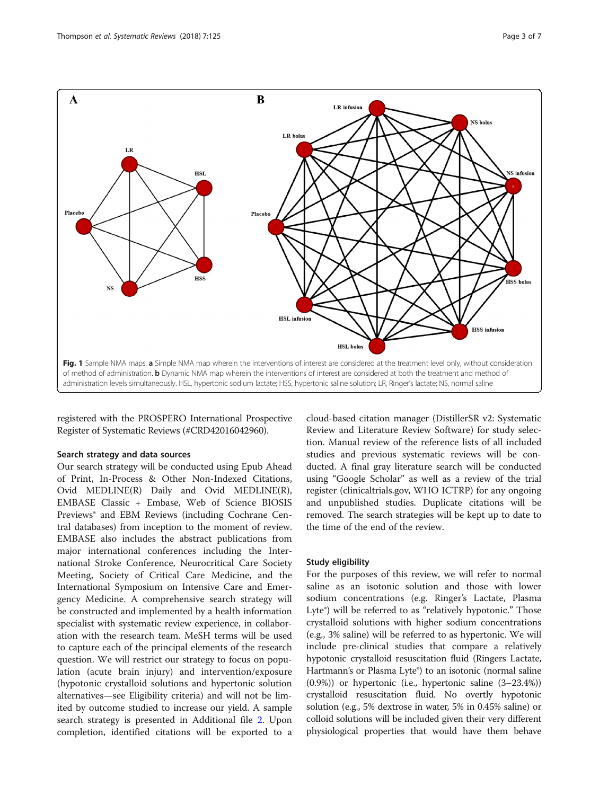<span id="page-2-0"></span>

registered with the PROSPERO International Prospective Register of Systematic Reviews (#CRD42016042960).

#### Search strategy and data sources

Our search strategy will be conducted using Epub Ahead of Print, In-Process & Other Non-Indexed Citations, Ovid MEDLINE(R) Daily and Ovid MEDLINE(R), EMBASE Classic + Embase, Web of Science BIOSIS Previews<sup>®</sup> and EBM Reviews (including Cochrane Central databases) from inception to the moment of review. EMBASE also includes the abstract publications from major international conferences including the International Stroke Conference, Neurocritical Care Society Meeting, Society of Critical Care Medicine, and the International Symposium on Intensive Care and Emergency Medicine. A comprehensive search strategy will be constructed and implemented by a health information specialist with systematic review experience, in collaboration with the research team. MeSH terms will be used to capture each of the principal elements of the research question. We will restrict our strategy to focus on population (acute brain injury) and intervention/exposure (hypotonic crystalloid solutions and hypertonic solution alternatives—see Eligibility criteria) and will not be limited by outcome studied to increase our yield. A sample search strategy is presented in Additional file [2.](#page-5-0) Upon completion, identified citations will be exported to a

cloud-based citation manager (DistillerSR v2: Systematic Review and Literature Review Software) for study selection. Manual review of the reference lists of all included studies and previous systematic reviews will be conducted. A final gray literature search will be conducted using "Google Scholar" as well as a review of the trial register (clinicaltrials.gov, WHO ICTRP) for any ongoing and unpublished studies. Duplicate citations will be removed. The search strategies will be kept up to date to the time of the end of the review.

# Study eligibility

For the purposes of this review, we will refer to normal saline as an isotonic solution and those with lower sodium concentrations (e.g. Ringer's Lactate, Plasma Lyte®) will be referred to as "relatively hypotonic." Those crystalloid solutions with higher sodium concentrations (e.g., 3% saline) will be referred to as hypertonic. We will include pre-clinical studies that compare a relatively hypotonic crystalloid resuscitation fluid (Ringers Lactate, Hartmann's or Plasma Lyte®) to an isotonic (normal saline (0.9%)) or hypertonic (i.e., hypertonic saline (3–23.4%)) crystalloid resuscitation fluid. No overtly hypotonic solution (e.g., 5% dextrose in water, 5% in 0.45% saline) or colloid solutions will be included given their very different physiological properties that would have them behave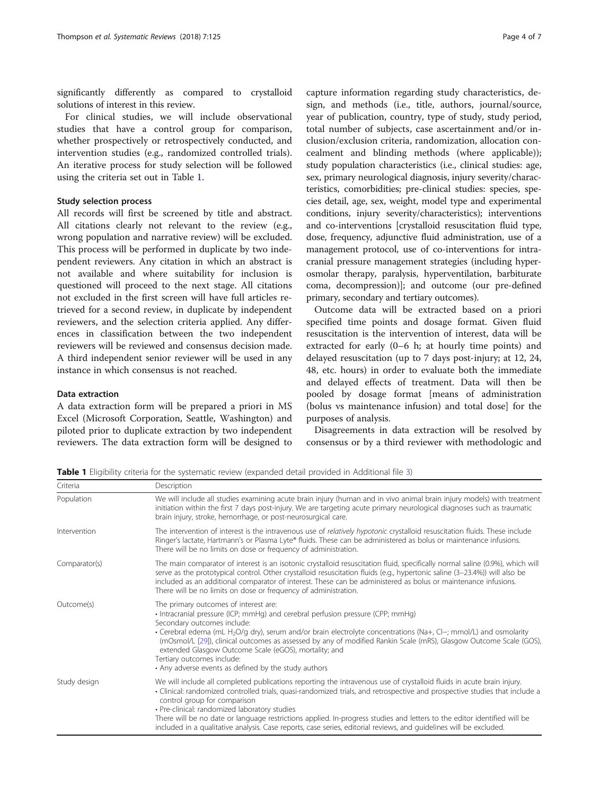significantly differently as compared to crystalloid solutions of interest in this review.

For clinical studies, we will include observational studies that have a control group for comparison, whether prospectively or retrospectively conducted, and intervention studies (e.g., randomized controlled trials). An iterative process for study selection will be followed using the criteria set out in Table 1.

# Study selection process

All records will first be screened by title and abstract. All citations clearly not relevant to the review (e.g., wrong population and narrative review) will be excluded. This process will be performed in duplicate by two independent reviewers. Any citation in which an abstract is not available and where suitability for inclusion is questioned will proceed to the next stage. All citations not excluded in the first screen will have full articles retrieved for a second review, in duplicate by independent reviewers, and the selection criteria applied. Any differences in classification between the two independent reviewers will be reviewed and consensus decision made. A third independent senior reviewer will be used in any instance in which consensus is not reached.

# Data extraction

A data extraction form will be prepared a priori in MS Excel (Microsoft Corporation, Seattle, Washington) and piloted prior to duplicate extraction by two independent reviewers. The data extraction form will be designed to sign, and methods (i.e., title, authors, journal/source, year of publication, country, type of study, study period, total number of subjects, case ascertainment and/or inclusion/exclusion criteria, randomization, allocation concealment and blinding methods (where applicable)); study population characteristics (i.e., clinical studies: age, sex, primary neurological diagnosis, injury severity/characteristics, comorbidities; pre-clinical studies: species, species detail, age, sex, weight, model type and experimental conditions, injury severity/characteristics); interventions and co-interventions [crystalloid resuscitation fluid type, dose, frequency, adjunctive fluid administration, use of a management protocol, use of co-interventions for intracranial pressure management strategies (including hyperosmolar therapy, paralysis, hyperventilation, barbiturate coma, decompression)]; and outcome (our pre-defined primary, secondary and tertiary outcomes).

Outcome data will be extracted based on a priori specified time points and dosage format. Given fluid resuscitation is the intervention of interest, data will be extracted for early (0–6 h; at hourly time points) and delayed resuscitation (up to 7 days post-injury; at 12, 24, 48, etc. hours) in order to evaluate both the immediate and delayed effects of treatment. Data will then be pooled by dosage format [means of administration (bolus vs maintenance infusion) and total dose] for the purposes of analysis.

Disagreements in data extraction will be resolved by consensus or by a third reviewer with methodologic and

Table 1 Eligibility criteria for the systematic review (expanded detail provided in Additional file [3](#page-5-0))

| Criteria      | Description                                                                                                                                                                                                                                                                                                                                                                                                                                                                                                                                                                             |
|---------------|-----------------------------------------------------------------------------------------------------------------------------------------------------------------------------------------------------------------------------------------------------------------------------------------------------------------------------------------------------------------------------------------------------------------------------------------------------------------------------------------------------------------------------------------------------------------------------------------|
| Population    | We will include all studies examining acute brain injury (human and in vivo animal brain injury models) with treatment<br>initiation within the first 7 days post-injury. We are targeting acute primary neurological diagnoses such as traumatic<br>brain injury, stroke, hemorrhage, or post-neurosurgical care.                                                                                                                                                                                                                                                                      |
| Intervention  | The intervention of interest is the intravenous use of relatively hypotonic crystalloid resuscitation fluids. These include<br>Ringer's lactate, Hartmann's or Plasma Lyte® fluids. These can be administered as bolus or maintenance infusions.<br>There will be no limits on dose or frequency of administration.                                                                                                                                                                                                                                                                     |
| Comparator(s) | The main comparator of interest is an isotonic crystalloid resuscitation fluid, specifically normal saline (0.9%), which will<br>serve as the prototypical control. Other crystalloid resuscitation fluids (e.g., hypertonic saline (3-23.4%)) will also be<br>included as an additional comparator of interest. These can be administered as bolus or maintenance infusions.<br>There will be no limits on dose or frequency of administration.                                                                                                                                        |
| Outcome(s)    | The primary outcomes of interest are:<br>• Intracranial pressure (ICP; mmHg) and cerebral perfusion pressure (CPP; mmHg)<br>Secondary outcomes include:<br>• Cerebral edema (mL H <sub>2</sub> O/g dry), serum and/or brain electrolyte concentrations (Na+, Cl-; mmol/L) and osmolarity<br>(mOsmol/L [29]), clinical outcomes as assessed by any of modified Rankin Scale (mRS), Glasgow Outcome Scale (GOS),<br>extended Glasgow Outcome Scale (eGOS), mortality; and<br>Tertiary outcomes include:<br>• Any adverse events as defined by the study authors                           |
| Study design  | We will include all completed publications reporting the intravenous use of crystalloid fluids in acute brain injury.<br>· Clinical: randomized controlled trials, quasi-randomized trials, and retrospective and prospective studies that include a<br>control group for comparison<br>· Pre-clinical: randomized laboratory studies<br>There will be no date or language restrictions applied. In-progress studies and letters to the editor identified will be<br>included in a qualitative analysis. Case reports, case series, editorial reviews, and quidelines will be excluded. |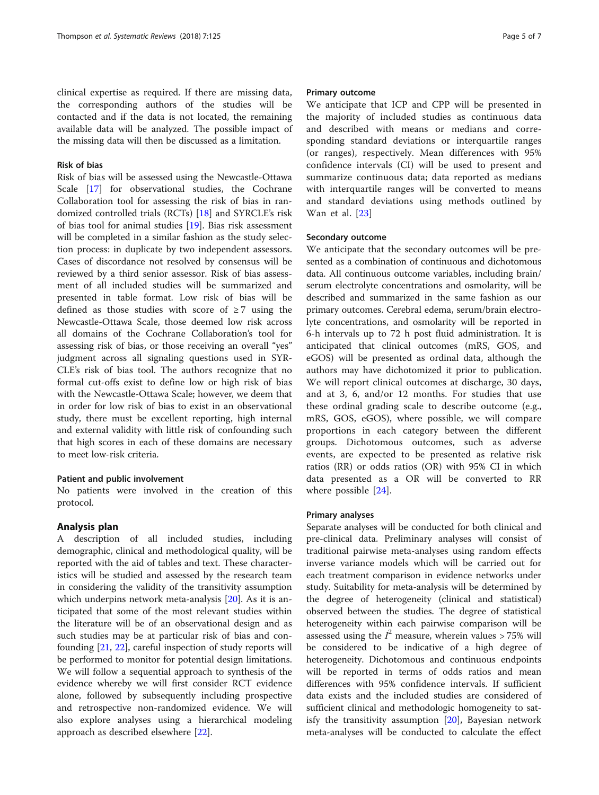clinical expertise as required. If there are missing data, the corresponding authors of the studies will be contacted and if the data is not located, the remaining available data will be analyzed. The possible impact of the missing data will then be discussed as a limitation.

# Risk of bias

Risk of bias will be assessed using the Newcastle-Ottawa Scale [[17\]](#page-6-0) for observational studies, the Cochrane Collaboration tool for assessing the risk of bias in randomized controlled trials (RCTs) [\[18\]](#page-6-0) and SYRCLE's risk of bias tool for animal studies [\[19](#page-6-0)]. Bias risk assessment will be completed in a similar fashion as the study selection process: in duplicate by two independent assessors. Cases of discordance not resolved by consensus will be reviewed by a third senior assessor. Risk of bias assessment of all included studies will be summarized and presented in table format. Low risk of bias will be defined as those studies with score of  $\geq 7$  using the Newcastle-Ottawa Scale, those deemed low risk across all domains of the Cochrane Collaboration's tool for assessing risk of bias, or those receiving an overall "yes" judgment across all signaling questions used in SYR-CLE's risk of bias tool. The authors recognize that no formal cut-offs exist to define low or high risk of bias with the Newcastle-Ottawa Scale; however, we deem that in order for low risk of bias to exist in an observational study, there must be excellent reporting, high internal and external validity with little risk of confounding such that high scores in each of these domains are necessary to meet low-risk criteria.

#### Patient and public involvement

No patients were involved in the creation of this protocol.

### Analysis plan

A description of all included studies, including demographic, clinical and methodological quality, will be reported with the aid of tables and text. These characteristics will be studied and assessed by the research team in considering the validity of the transitivity assumption which underpins network meta-analysis [\[20](#page-6-0)]. As it is anticipated that some of the most relevant studies within the literature will be of an observational design and as such studies may be at particular risk of bias and confounding [\[21](#page-6-0), [22](#page-6-0)], careful inspection of study reports will be performed to monitor for potential design limitations. We will follow a sequential approach to synthesis of the evidence whereby we will first consider RCT evidence alone, followed by subsequently including prospective and retrospective non-randomized evidence. We will also explore analyses using a hierarchical modeling approach as described elsewhere [\[22\]](#page-6-0).

# Primary outcome

We anticipate that ICP and CPP will be presented in the majority of included studies as continuous data and described with means or medians and corresponding standard deviations or interquartile ranges (or ranges), respectively. Mean differences with 95% confidence intervals (CI) will be used to present and summarize continuous data; data reported as medians with interquartile ranges will be converted to means and standard deviations using methods outlined by Wan et al. [[23\]](#page-6-0)

#### Secondary outcome

We anticipate that the secondary outcomes will be presented as a combination of continuous and dichotomous data. All continuous outcome variables, including brain/ serum electrolyte concentrations and osmolarity, will be described and summarized in the same fashion as our primary outcomes. Cerebral edema, serum/brain electrolyte concentrations, and osmolarity will be reported in 6-h intervals up to 72 h post fluid administration. It is anticipated that clinical outcomes (mRS, GOS, and eGOS) will be presented as ordinal data, although the authors may have dichotomized it prior to publication. We will report clinical outcomes at discharge, 30 days, and at 3, 6, and/or 12 months. For studies that use these ordinal grading scale to describe outcome (e.g., mRS, GOS, eGOS), where possible, we will compare proportions in each category between the different groups. Dichotomous outcomes, such as adverse events, are expected to be presented as relative risk ratios (RR) or odds ratios (OR) with 95% CI in which data presented as a OR will be converted to RR where possible [\[24](#page-6-0)].

# Primary analyses

Separate analyses will be conducted for both clinical and pre-clinical data. Preliminary analyses will consist of traditional pairwise meta-analyses using random effects inverse variance models which will be carried out for each treatment comparison in evidence networks under study. Suitability for meta-analysis will be determined by the degree of heterogeneity (clinical and statistical) observed between the studies. The degree of statistical heterogeneity within each pairwise comparison will be assessed using the  $I^2$  measure, wherein values > 75% will be considered to be indicative of a high degree of heterogeneity. Dichotomous and continuous endpoints will be reported in terms of odds ratios and mean differences with 95% confidence intervals. If sufficient data exists and the included studies are considered of sufficient clinical and methodologic homogeneity to satisfy the transitivity assumption [[20\]](#page-6-0), Bayesian network meta-analyses will be conducted to calculate the effect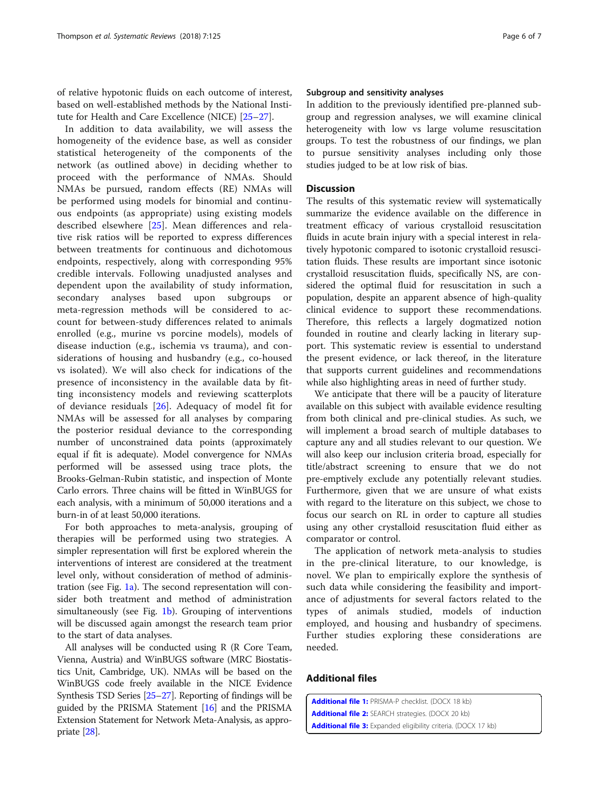<span id="page-5-0"></span>of relative hypotonic fluids on each outcome of interest, based on well-established methods by the National Institute for Health and Care Excellence (NICE) [[25](#page-6-0)–[27](#page-6-0)].

In addition to data availability, we will assess the homogeneity of the evidence base, as well as consider statistical heterogeneity of the components of the network (as outlined above) in deciding whether to proceed with the performance of NMAs. Should NMAs be pursued, random effects (RE) NMAs will be performed using models for binomial and continuous endpoints (as appropriate) using existing models described elsewhere [[25\]](#page-6-0). Mean differences and relative risk ratios will be reported to express differences between treatments for continuous and dichotomous endpoints, respectively, along with corresponding 95% credible intervals. Following unadjusted analyses and dependent upon the availability of study information, secondary analyses based upon subgroups or meta-regression methods will be considered to account for between-study differences related to animals enrolled (e.g., murine vs porcine models), models of disease induction (e.g., ischemia vs trauma), and considerations of housing and husbandry (e.g., co-housed vs isolated). We will also check for indications of the presence of inconsistency in the available data by fitting inconsistency models and reviewing scatterplots of deviance residuals [\[26](#page-6-0)]. Adequacy of model fit for NMAs will be assessed for all analyses by comparing the posterior residual deviance to the corresponding number of unconstrained data points (approximately equal if fit is adequate). Model convergence for NMAs performed will be assessed using trace plots, the Brooks-Gelman-Rubin statistic, and inspection of Monte Carlo errors. Three chains will be fitted in WinBUGS for each analysis, with a minimum of 50,000 iterations and a burn-in of at least 50,000 iterations.

For both approaches to meta-analysis, grouping of therapies will be performed using two strategies. A simpler representation will first be explored wherein the interventions of interest are considered at the treatment level only, without consideration of method of administration (see Fig. [1a](#page-2-0)). The second representation will consider both treatment and method of administration simultaneously (see Fig.  $1b$ ). Grouping of interventions will be discussed again amongst the research team prior to the start of data analyses.

All analyses will be conducted using R (R Core Team, Vienna, Austria) and WinBUGS software (MRC Biostatistics Unit, Cambridge, UK). NMAs will be based on the WinBUGS code freely available in the NICE Evidence Synthesis TSD Series [\[25](#page-6-0)–[27](#page-6-0)]. Reporting of findings will be guided by the PRISMA Statement [\[16\]](#page-6-0) and the PRISMA Extension Statement for Network Meta-Analysis, as appropriate [\[28](#page-6-0)].

# Subgroup and sensitivity analyses

In addition to the previously identified pre-planned subgroup and regression analyses, we will examine clinical heterogeneity with low vs large volume resuscitation groups. To test the robustness of our findings, we plan to pursue sensitivity analyses including only those studies judged to be at low risk of bias.

# **Discussion**

The results of this systematic review will systematically summarize the evidence available on the difference in treatment efficacy of various crystalloid resuscitation fluids in acute brain injury with a special interest in relatively hypotonic compared to isotonic crystalloid resuscitation fluids. These results are important since isotonic crystalloid resuscitation fluids, specifically NS, are considered the optimal fluid for resuscitation in such a population, despite an apparent absence of high-quality clinical evidence to support these recommendations. Therefore, this reflects a largely dogmatized notion founded in routine and clearly lacking in literary support. This systematic review is essential to understand the present evidence, or lack thereof, in the literature that supports current guidelines and recommendations while also highlighting areas in need of further study.

We anticipate that there will be a paucity of literature available on this subject with available evidence resulting from both clinical and pre-clinical studies. As such, we will implement a broad search of multiple databases to capture any and all studies relevant to our question. We will also keep our inclusion criteria broad, especially for title/abstract screening to ensure that we do not pre-emptively exclude any potentially relevant studies. Furthermore, given that we are unsure of what exists with regard to the literature on this subject, we chose to focus our search on RL in order to capture all studies using any other crystalloid resuscitation fluid either as comparator or control.

The application of network meta-analysis to studies in the pre-clinical literature, to our knowledge, is novel. We plan to empirically explore the synthesis of such data while considering the feasibility and importance of adjustments for several factors related to the types of animals studied, models of induction employed, and housing and husbandry of specimens. Further studies exploring these considerations are needed.

# Additional files

[Additional file 1:](https://doi.org/10.1186/s13643-018-0790-x) PRISMA-P checklist. (DOCX 18 kb) [Additional file 2:](https://doi.org/10.1186/s13643-018-0790-x) SEARCH strategies. (DOCX 20 kb) [Additional file 3:](https://doi.org/10.1186/s13643-018-0790-x) Expanded eligibility criteria. (DOCX 17 kb)